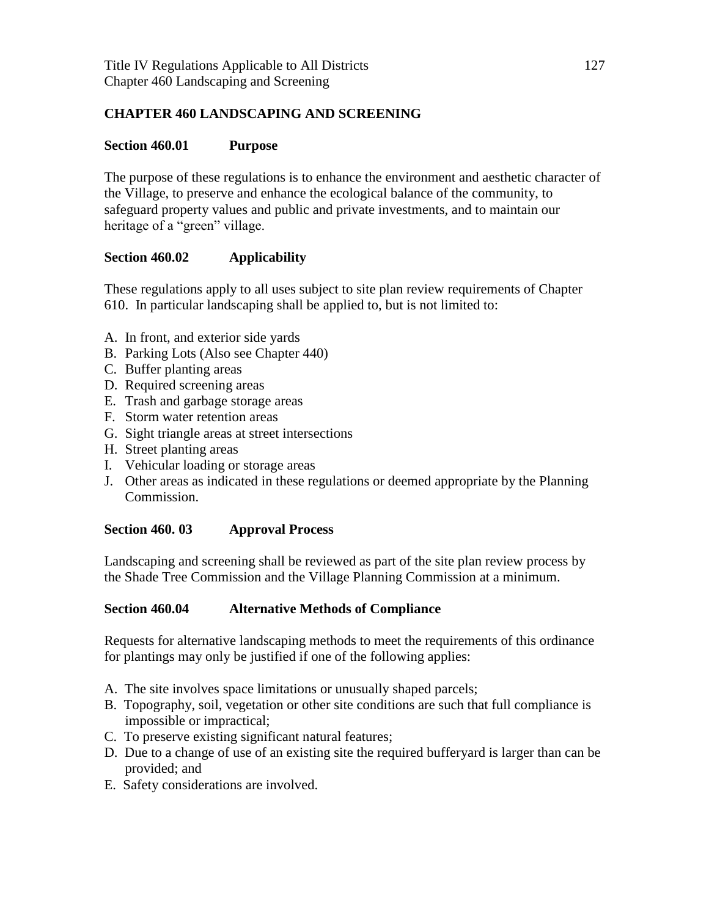### **CHAPTER 460 LANDSCAPING AND SCREENING**

#### **Section 460.01 Purpose**

The purpose of these regulations is to enhance the environment and aesthetic character of the Village, to preserve and enhance the ecological balance of the community, to safeguard property values and public and private investments, and to maintain our heritage of a "green" village.

#### **Section 460.02 Applicability**

These regulations apply to all uses subject to site plan review requirements of Chapter 610. In particular landscaping shall be applied to, but is not limited to:

- A. In front, and exterior side yards
- B. Parking Lots (Also see Chapter 440)
- C. Buffer planting areas
- D. Required screening areas
- E. Trash and garbage storage areas
- F. Storm water retention areas
- G. Sight triangle areas at street intersections
- H. Street planting areas
- I. Vehicular loading or storage areas
- J. Other areas as indicated in these regulations or deemed appropriate by the Planning Commission.

#### **Section 460. 03 Approval Process**

Landscaping and screening shall be reviewed as part of the site plan review process by the Shade Tree Commission and the Village Planning Commission at a minimum.

#### **Section 460.04 Alternative Methods of Compliance**

Requests for alternative landscaping methods to meet the requirements of this ordinance for plantings may only be justified if one of the following applies:

- A. The site involves space limitations or unusually shaped parcels;
- B. Topography, soil, vegetation or other site conditions are such that full compliance is impossible or impractical;
- C. To preserve existing significant natural features;
- D. Due to a change of use of an existing site the required bufferyard is larger than can be provided; and
- E. Safety considerations are involved.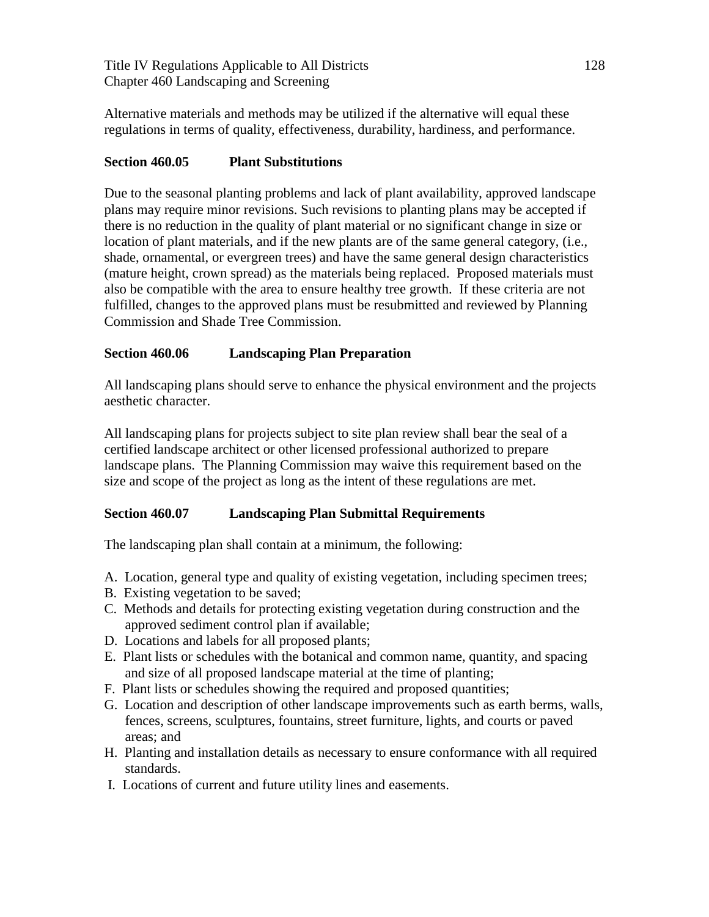Title IV Regulations Applicable to All Districts 128 Chapter 460 Landscaping and Screening

Alternative materials and methods may be utilized if the alternative will equal these regulations in terms of quality, effectiveness, durability, hardiness, and performance.

### **Section 460.05 Plant Substitutions**

Due to the seasonal planting problems and lack of plant availability, approved landscape plans may require minor revisions. Such revisions to planting plans may be accepted if there is no reduction in the quality of plant material or no significant change in size or location of plant materials, and if the new plants are of the same general category, (i.e., shade, ornamental, or evergreen trees) and have the same general design characteristics (mature height, crown spread) as the materials being replaced. Proposed materials must also be compatible with the area to ensure healthy tree growth. If these criteria are not fulfilled, changes to the approved plans must be resubmitted and reviewed by Planning Commission and Shade Tree Commission.

### **Section 460.06 Landscaping Plan Preparation**

All landscaping plans should serve to enhance the physical environment and the projects aesthetic character.

All landscaping plans for projects subject to site plan review shall bear the seal of a certified landscape architect or other licensed professional authorized to prepare landscape plans. The Planning Commission may waive this requirement based on the size and scope of the project as long as the intent of these regulations are met.

### **Section 460.07 Landscaping Plan Submittal Requirements**

The landscaping plan shall contain at a minimum, the following:

- A. Location, general type and quality of existing vegetation, including specimen trees;
- B. Existing vegetation to be saved;
- C. Methods and details for protecting existing vegetation during construction and the approved sediment control plan if available;
- D. Locations and labels for all proposed plants;
- E. Plant lists or schedules with the botanical and common name, quantity, and spacing and size of all proposed landscape material at the time of planting;
- F. Plant lists or schedules showing the required and proposed quantities;
- G. Location and description of other landscape improvements such as earth berms, walls, fences, screens, sculptures, fountains, street furniture, lights, and courts or paved areas; and
- H. Planting and installation details as necessary to ensure conformance with all required standards.
- I. Locations of current and future utility lines and easements.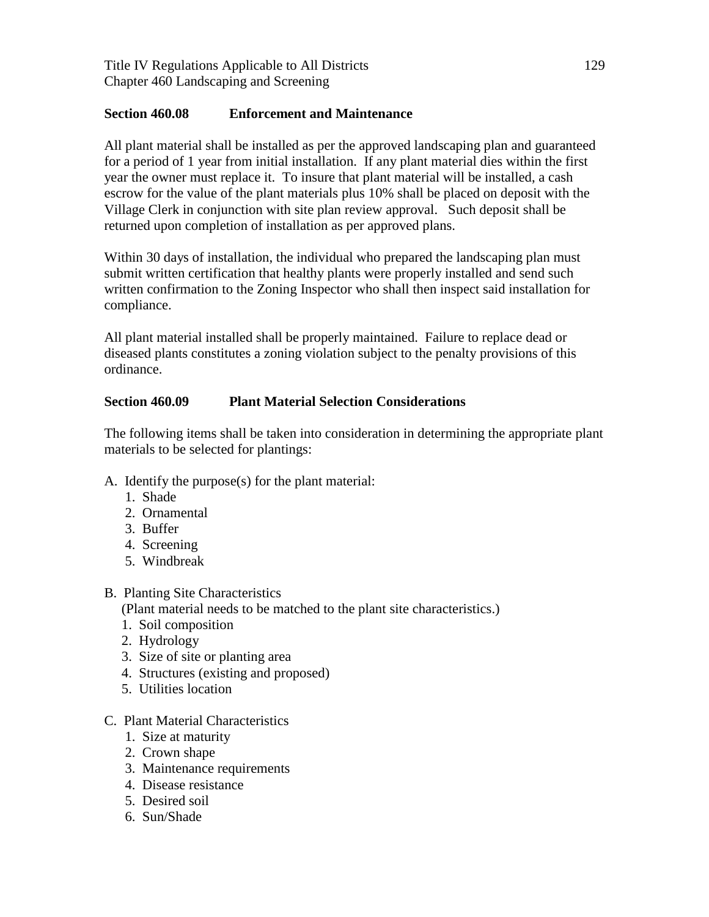Title IV Regulations Applicable to All Districts 129 Chapter 460 Landscaping and Screening

#### **Section 460.08 Enforcement and Maintenance**

All plant material shall be installed as per the approved landscaping plan and guaranteed for a period of 1 year from initial installation. If any plant material dies within the first year the owner must replace it. To insure that plant material will be installed, a cash escrow for the value of the plant materials plus 10% shall be placed on deposit with the Village Clerk in conjunction with site plan review approval. Such deposit shall be returned upon completion of installation as per approved plans.

Within 30 days of installation, the individual who prepared the landscaping plan must submit written certification that healthy plants were properly installed and send such written confirmation to the Zoning Inspector who shall then inspect said installation for compliance.

All plant material installed shall be properly maintained. Failure to replace dead or diseased plants constitutes a zoning violation subject to the penalty provisions of this ordinance.

### **Section 460.09 Plant Material Selection Considerations**

The following items shall be taken into consideration in determining the appropriate plant materials to be selected for plantings:

- A. Identify the purpose(s) for the plant material:
	- 1. Shade
	- 2. Ornamental
	- 3. Buffer
	- 4. Screening
	- 5. Windbreak

### B. Planting Site Characteristics

(Plant material needs to be matched to the plant site characteristics.)

- 1. Soil composition
- 2. Hydrology
- 3. Size of site or planting area
- 4. Structures (existing and proposed)
- 5. Utilities location
- C. Plant Material Characteristics
	- 1. Size at maturity
	- 2. Crown shape
	- 3. Maintenance requirements
	- 4. Disease resistance
	- 5. Desired soil
	- 6. Sun/Shade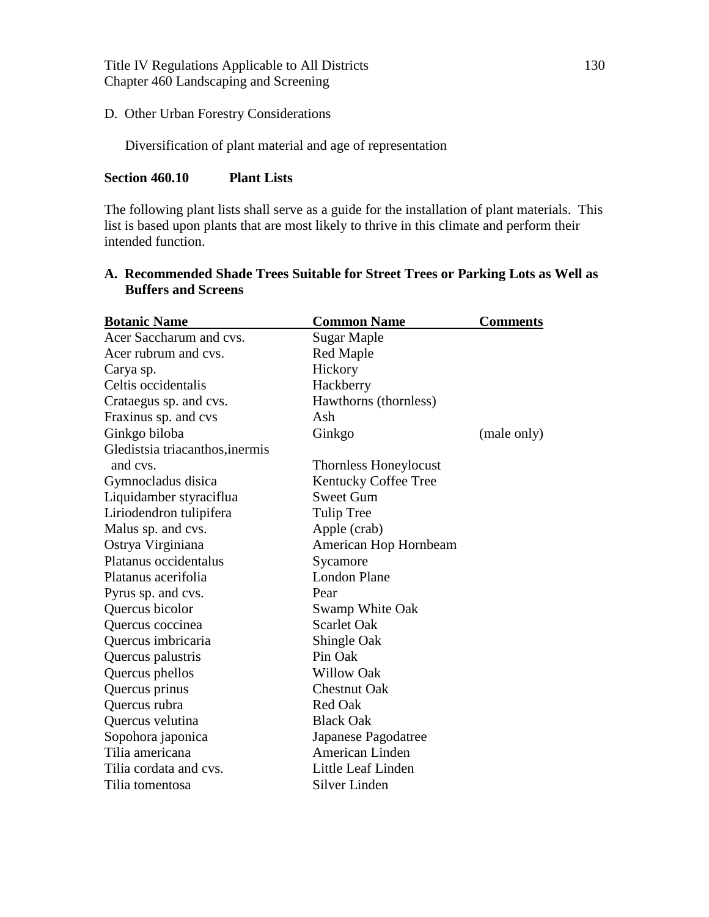Title IV Regulations Applicable to All Districts 130 Chapter 460 Landscaping and Screening

#### D. Other Urban Forestry Considerations

Diversification of plant material and age of representation

#### **Section 460.10 Plant Lists**

The following plant lists shall serve as a guide for the installation of plant materials. This list is based upon plants that are most likely to thrive in this climate and perform their intended function.

| <b>Botanic Name</b>             | <b>Common Name</b>           | <b>Comments</b> |
|---------------------------------|------------------------------|-----------------|
| Acer Saccharum and cvs.         | Sugar Maple                  |                 |
| Acer rubrum and cvs.            | <b>Red Maple</b>             |                 |
| Carya sp.                       | Hickory                      |                 |
| Celtis occidentalis             | Hackberry                    |                 |
| Crataegus sp. and cvs.          | Hawthorns (thornless)        |                 |
| Fraxinus sp. and cvs            | Ash                          |                 |
| Ginkgo biloba                   | Ginkgo                       | (male only)     |
| Gledistsia triacanthos, inermis |                              |                 |
| and cvs.                        | <b>Thornless Honeylocust</b> |                 |
| Gymnocladus disica              | Kentucky Coffee Tree         |                 |
| Liquidamber styraciflua         | <b>Sweet Gum</b>             |                 |
| Liriodendron tulipifera         | Tulip Tree                   |                 |
| Malus sp. and cvs.              | Apple (crab)                 |                 |
| Ostrya Virginiana               | American Hop Hornbeam        |                 |
| Platanus occidentalus           | Sycamore                     |                 |
| Platanus acerifolia             | <b>London Plane</b>          |                 |
| Pyrus sp. and cvs.              | Pear                         |                 |
| Quercus bicolor                 | Swamp White Oak              |                 |
| Quercus coccinea                | <b>Scarlet Oak</b>           |                 |
| Quercus imbricaria              | Shingle Oak                  |                 |
| Quercus palustris               | Pin Oak                      |                 |
| Quercus phellos                 | <b>Willow Oak</b>            |                 |
| Quercus prinus                  | <b>Chestnut Oak</b>          |                 |
| Quercus rubra                   | <b>Red Oak</b>               |                 |
| Quercus velutina                | <b>Black Oak</b>             |                 |
| Sopohora japonica               | Japanese Pagodatree          |                 |
| Tilia americana                 | American Linden              |                 |
| Tilia cordata and cvs.          | Little Leaf Linden           |                 |
| Tilia tomentosa                 | Silver Linden                |                 |

# **A. Recommended Shade Trees Suitable for Street Trees or Parking Lots as Well as Buffers and Screens**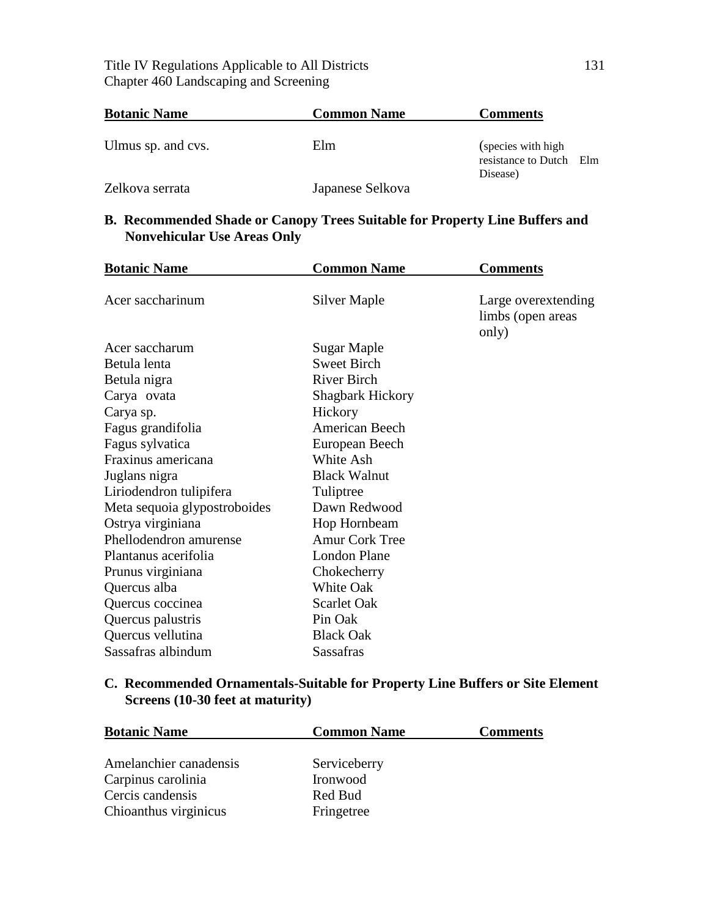### Title IV Regulations Applicable to All Districts 131 Chapter 460 Landscaping and Screening

| <b>Botanic Name</b> | <b>Common Name</b> | <b>Comments</b>                                            |  |
|---------------------|--------------------|------------------------------------------------------------|--|
| Ulmus sp. and cvs.  | Elm                | (species with high)<br>resistance to Dutch Elm<br>Disease) |  |
| Zelkova serrata     | Japanese Selkova   |                                                            |  |

### **B. Recommended Shade or Canopy Trees Suitable for Property Line Buffers and Nonvehicular Use Areas Only**

| <b>Botanic Name</b>          | <b>Common Name</b>      | <b>Comments</b>                                   |
|------------------------------|-------------------------|---------------------------------------------------|
| Acer saccharinum             | Silver Maple            | Large overextending<br>limbs (open areas<br>only) |
| Acer saccharum               | Sugar Maple             |                                                   |
| Betula lenta                 | <b>Sweet Birch</b>      |                                                   |
| Betula nigra                 | <b>River Birch</b>      |                                                   |
| Carya ovata                  | <b>Shagbark Hickory</b> |                                                   |
| Carya sp.                    | Hickory                 |                                                   |
| Fagus grandifolia            | American Beech          |                                                   |
| Fagus sylvatica              | European Beech          |                                                   |
| Fraxinus americana           | White Ash               |                                                   |
| Juglans nigra                | <b>Black Walnut</b>     |                                                   |
| Liriodendron tulipifera      | Tuliptree               |                                                   |
| Meta sequoia glypostroboides | Dawn Redwood            |                                                   |
| Ostrya virginiana            | Hop Hornbeam            |                                                   |
| Phellodendron amurense       | <b>Amur Cork Tree</b>   |                                                   |
| Plantanus acerifolia         | <b>London Plane</b>     |                                                   |
| Prunus virginiana            | Chokecherry             |                                                   |
| Quercus alba                 | White Oak               |                                                   |
| Quercus coccinea             | <b>Scarlet Oak</b>      |                                                   |
| Quercus palustris            | Pin Oak                 |                                                   |
| Quercus vellutina            | <b>Black Oak</b>        |                                                   |
| Sassafras albindum           | <b>Sassafras</b>        |                                                   |

# **C. Recommended Ornamentals-Suitable for Property Line Buffers or Site Element Screens (10-30 feet at maturity)**

| <b>Botanic Name</b>    | <b>Common Name</b> | Comments |
|------------------------|--------------------|----------|
|                        |                    |          |
| Amelanchier canadensis | Serviceberry       |          |
| Carpinus carolinia     | Ironwood           |          |
| Cercis candensis       | Red Bud            |          |
| Chioanthus virginicus  | Fringetree         |          |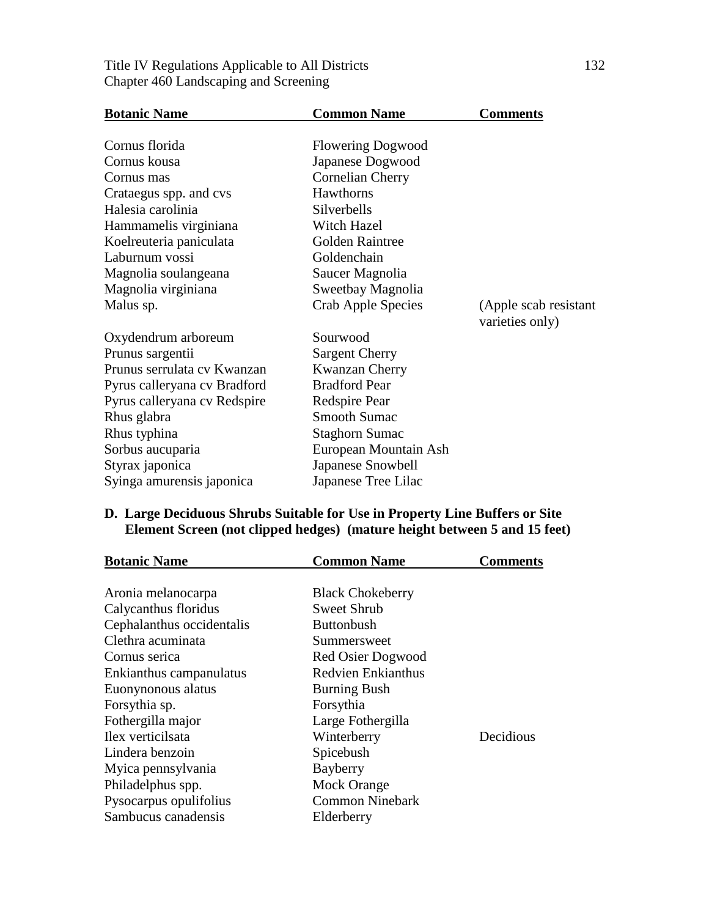| <b>Botanic Name</b>          | <b>Common Name</b>        | <b>Comments</b>                          |
|------------------------------|---------------------------|------------------------------------------|
| Cornus florida               | <b>Flowering Dogwood</b>  |                                          |
| Cornus kousa                 | Japanese Dogwood          |                                          |
| Cornus mas                   | Cornelian Cherry          |                                          |
| Crataegus spp. and cvs       | Hawthorns                 |                                          |
| Halesia carolinia            | Silverbells               |                                          |
| Hammamelis virginiana        | Witch Hazel               |                                          |
| Koelreuteria paniculata      | Golden Raintree           |                                          |
| Laburnum vossi               | Goldenchain               |                                          |
| Magnolia soulangeana         | Saucer Magnolia           |                                          |
| Magnolia virginiana          | Sweetbay Magnolia         |                                          |
| Malus sp.                    | <b>Crab Apple Species</b> | (Apple scab resistant<br>varieties only) |
| Oxydendrum arboreum          | Sourwood                  |                                          |
| Prunus sargentii             | <b>Sargent Cherry</b>     |                                          |
| Prunus serrulata cv Kwanzan  | Kwanzan Cherry            |                                          |
| Pyrus calleryana cv Bradford | <b>Bradford Pear</b>      |                                          |
| Pyrus calleryana cv Redspire | Redspire Pear             |                                          |
| Rhus glabra                  | <b>Smooth Sumac</b>       |                                          |
| Rhus typhina                 | <b>Staghorn Sumac</b>     |                                          |
| Sorbus aucuparia             | European Mountain Ash     |                                          |
| Styrax japonica              | Japanese Snowbell         |                                          |
| Syinga amurensis japonica    | Japanese Tree Lilac       |                                          |

### Title IV Regulations Applicable to All Districts 132 Chapter 460 Landscaping and Screening

# **D. Large Deciduous Shrubs Suitable for Use in Property Line Buffers or Site Element Screen (not clipped hedges) (mature height between 5 and 15 feet)**

| <b>Botanic Name</b>       | <b>Common Name</b>        | Comments  |
|---------------------------|---------------------------|-----------|
|                           |                           |           |
| Aronia melanocarpa        | <b>Black Chokeberry</b>   |           |
| Calycanthus floridus      | Sweet Shrub               |           |
| Cephalanthus occidentalis | <b>Buttonbush</b>         |           |
| Clethra acuminata         | Summersweet               |           |
| Cornus serica             | <b>Red Osier Dogwood</b>  |           |
| Enkianthus campanulatus   | <b>Redvien Enkianthus</b> |           |
| Euonynonous alatus        | <b>Burning Bush</b>       |           |
| Forsythia sp.             | Forsythia                 |           |
| Fothergilla major         | Large Fothergilla         |           |
| Ilex verticilsata         | Winterberry               | Decidious |
| Lindera benzoin           | Spicebush                 |           |
| Myica pennsylvania        | Bayberry                  |           |
| Philadelphus spp.         | <b>Mock Orange</b>        |           |
| Pysocarpus opulifolius    | <b>Common Ninebark</b>    |           |
| Sambucus canadensis       | Elderberry                |           |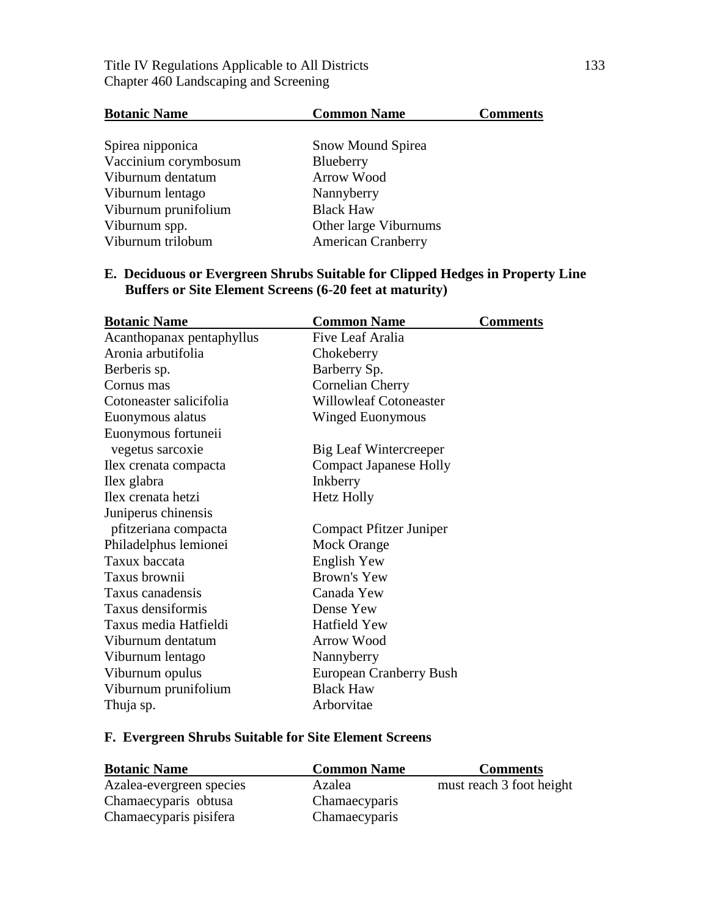# Title IV Regulations Applicable to All Districts 133 Chapter 460 Landscaping and Screening

| <b>Botanic Name</b>  | <b>Common Name</b>        | <b>Comments</b> |
|----------------------|---------------------------|-----------------|
|                      |                           |                 |
| Spirea nipponica     | <b>Snow Mound Spirea</b>  |                 |
| Vaccinium corymbosum | Blueberry                 |                 |
| Viburnum dentatum    | Arrow Wood                |                 |
| Viburnum lentago     | Nannyberry                |                 |
| Viburnum prunifolium | <b>Black Haw</b>          |                 |
| Viburnum spp.        | Other large Viburnums     |                 |
| Viburnum trilobum    | <b>American Cranberry</b> |                 |

### **E. Deciduous or Evergreen Shrubs Suitable for Clipped Hedges in Property Line Buffers or Site Element Screens (6-20 feet at maturity)**

| <b>Botanic Name</b>       | <b>Common Name</b>            | <b>Comments</b> |
|---------------------------|-------------------------------|-----------------|
| Acanthopanax pentaphyllus | Five Leaf Aralia              |                 |
| Aronia arbutifolia        | Chokeberry                    |                 |
| Berberis sp.              | Barberry Sp.                  |                 |
| Cornus mas                | Cornelian Cherry              |                 |
| Cotoneaster salicifolia   | <b>Willowleaf Cotoneaster</b> |                 |
| Euonymous alatus          | Winged Euonymous              |                 |
| Euonymous fortuneii       |                               |                 |
| vegetus sarcoxie          | Big Leaf Wintercreeper        |                 |
| Ilex crenata compacta     | <b>Compact Japanese Holly</b> |                 |
| Ilex glabra               | Inkberry                      |                 |
| Ilex crenata hetzi        | <b>Hetz Holly</b>             |                 |
| Juniperus chinensis       |                               |                 |
| pfitzeriana compacta      | Compact Pfitzer Juniper       |                 |
| Philadelphus lemionei     | Mock Orange                   |                 |
| Taxux baccata             | <b>English Yew</b>            |                 |
| Taxus brownii             | <b>Brown's Yew</b>            |                 |
| Taxus canadensis          | Canada Yew                    |                 |
| Taxus densiformis         | Dense Yew                     |                 |
| Taxus media Hatfieldi     | <b>Hatfield Yew</b>           |                 |
| Viburnum dentatum         | <b>Arrow Wood</b>             |                 |
| Viburnum lentago          | Nannyberry                    |                 |
| Viburnum opulus           | European Cranberry Bush       |                 |
| Viburnum prunifolium      | <b>Black Haw</b>              |                 |
| Thuja sp.                 | Arborvitae                    |                 |

# **F. Evergreen Shrubs Suitable for Site Element Screens**

| <b>Botanic Name</b>      | <b>Common Name</b> | <b>Comments</b>          |
|--------------------------|--------------------|--------------------------|
| Azalea-evergreen species | Azalea             | must reach 3 foot height |
| Chamaecyparis obtusa     | Chamaecyparis      |                          |
| Chamaecyparis pisifera   | Chamaecyparis      |                          |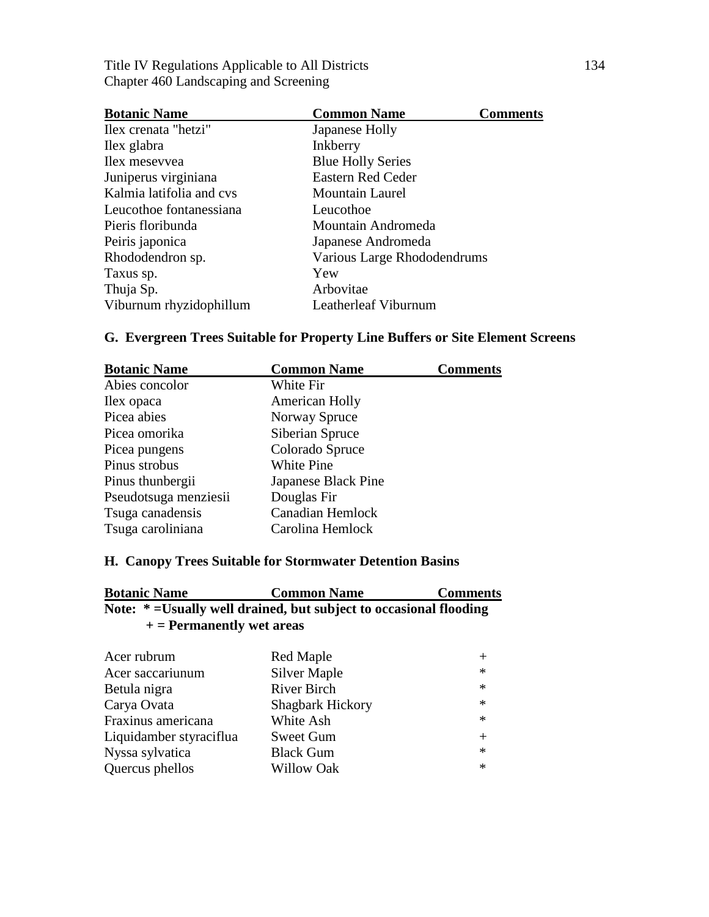Title IV Regulations Applicable to All Districts 134 Chapter 460 Landscaping and Screening

| <b>Botanic Name</b>      | <b>Common Name</b>          | <b>Comments</b> |
|--------------------------|-----------------------------|-----------------|
| Ilex crenata "hetzi"     | Japanese Holly              |                 |
| Ilex glabra              | Inkberry                    |                 |
| Ilex mesevvea            | <b>Blue Holly Series</b>    |                 |
| Juniperus virginiana     | <b>Eastern Red Ceder</b>    |                 |
| Kalmia latifolia and cys | <b>Mountain Laurel</b>      |                 |
| Leucothoe fontanessiana  | Leucothoe                   |                 |
| Pieris floribunda        | Mountain Andromeda          |                 |
| Peiris japonica          | Japanese Andromeda          |                 |
| Rhododendron sp.         | Various Large Rhododendrums |                 |
| Taxus sp.                | Yew                         |                 |
| Thuja Sp.                | Arbovitae                   |                 |
| Viburnum rhyzidophillum  | Leatherleaf Viburnum        |                 |

# **G. Evergreen Trees Suitable for Property Line Buffers or Site Element Screens**

| <b>Botanic Name</b>   | <b>Common Name</b>      | <b>Comments</b> |
|-----------------------|-------------------------|-----------------|
| Abies concolor        | White Fir               |                 |
| Ilex opaca            | American Holly          |                 |
| Picea abies           | Norway Spruce           |                 |
| Picea omorika         | Siberian Spruce         |                 |
| Picea pungens         | Colorado Spruce         |                 |
| Pinus strobus         | White Pine              |                 |
| Pinus thunbergii      | Japanese Black Pine     |                 |
| Pseudotsuga menziesii | Douglas Fir             |                 |
| Tsuga canadensis      | <b>Canadian Hemlock</b> |                 |
| Tsuga caroliniana     | Carolina Hemlock        |                 |

### **H. Canopy Trees Suitable for Stormwater Detention Basins**

| <b>Botanic Name</b> | <b>Common Name</b>                                                 | <b>Comments</b> |
|---------------------|--------------------------------------------------------------------|-----------------|
|                     | Note: * = Usually well drained, but subject to occasional flooding |                 |
|                     | $+$ = Permanently wet areas                                        |                 |

| Red Maple               | $^{+}$ |
|-------------------------|--------|
| <b>Silver Maple</b>     | $\ast$ |
| <b>River Birch</b>      | $\ast$ |
| <b>Shagbark Hickory</b> | $\ast$ |
| White Ash               | $\ast$ |
| <b>Sweet Gum</b>        | $+$    |
| <b>Black Gum</b>        | $\ast$ |
| <b>Willow Oak</b>       | $\ast$ |
|                         |        |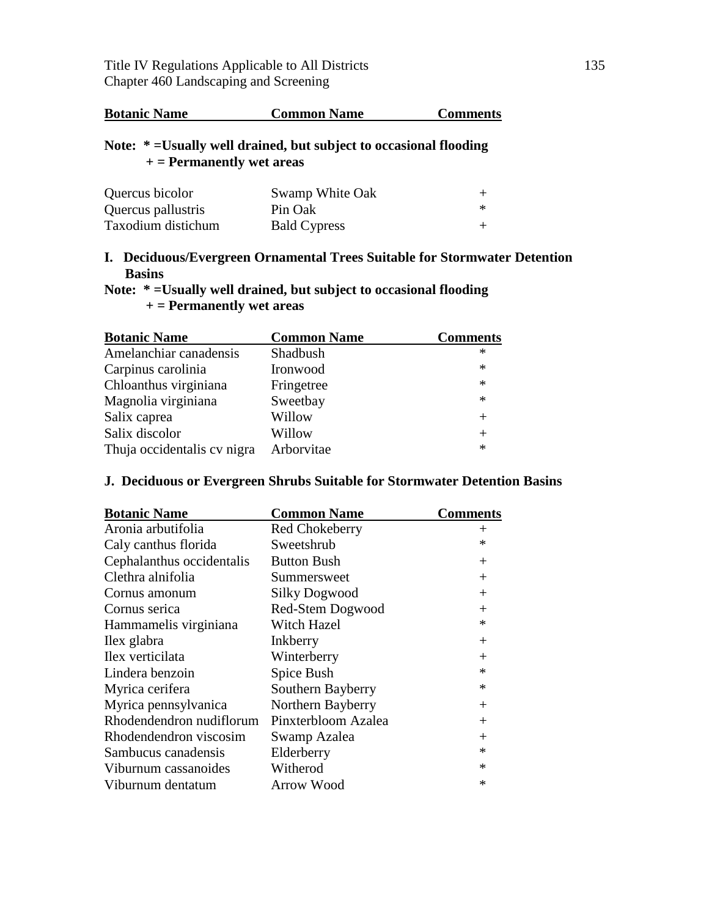| <b>Botanic Name</b><br><b>Common Name</b> | <b>Comments</b> |
|-------------------------------------------|-----------------|
|-------------------------------------------|-----------------|

### **Note: \* =Usually well drained, but subject to occasional flooding + = Permanently wet areas**

| Quercus bicolor    | Swamp White Oak     |        |
|--------------------|---------------------|--------|
| Quercus pallustris | Pin Oak             | $\ast$ |
| Taxodium distichum | <b>Bald Cypress</b> |        |

### **I. Deciduous/Evergreen Ornamental Trees Suitable for Stormwater Detention Basins**

### **Note: \* =Usually well drained, but subject to occasional flooding + = Permanently wet areas**

| <b>Botanic Name</b>         | <b>Common Name</b> | <b>Comments</b> |
|-----------------------------|--------------------|-----------------|
| Amelanchiar canadensis      | Shadbush           | ∗               |
| Carpinus carolinia          | Ironwood           | $\ast$          |
| Chloanthus virginiana       | Fringetree         | $\ast$          |
| Magnolia virginiana         | Sweetbay           | $\ast$          |
| Salix caprea                | Willow             |                 |
| Salix discolor              | Willow             |                 |
| Thuja occidentalis cv nigra | Arborvitae         | $\ast$          |

### **J. Deciduous or Evergreen Shrubs Suitable for Stormwater Detention Basins**

| <b>Botanic Name</b>       | <b>Common Name</b>    | <b>Comments</b> |
|---------------------------|-----------------------|-----------------|
| Aronia arbutifolia        | <b>Red Chokeberry</b> | $^{+}$          |
| Caly canthus florida      | Sweetshrub            | *               |
| Cephalanthus occidentalis | <b>Button Bush</b>    | $\pm$           |
| Clethra alnifolia         | Summersweet           | $^{+}$          |
| Cornus amonum             | <b>Silky Dogwood</b>  | $^{+}$          |
| Cornus serica             | Red-Stem Dogwood      | $^{+}$          |
| Hammamelis virginiana     | Witch Hazel           | ∗               |
| Ilex glabra               | Inkberry              | $^{+}$          |
| Ilex verticilata          | Winterberry           | $^+$            |
| Lindera benzoin           | Spice Bush            | *               |
| Myrica cerifera           | Southern Bayberry     | *               |
| Myrica pennsylvanica      | Northern Bayberry     | $\pm$           |
| Rhodendendron nudiflorum  | Pinxterbloom Azalea   | $^{+}$          |
| Rhodendendron viscosim    | Swamp Azalea          | $^{+}$          |
| Sambucus canadensis       | Elderberry            | *               |
| Viburnum cassanoides      | Witherod              | *               |
| Viburnum dentatum         | Arrow Wood            | *               |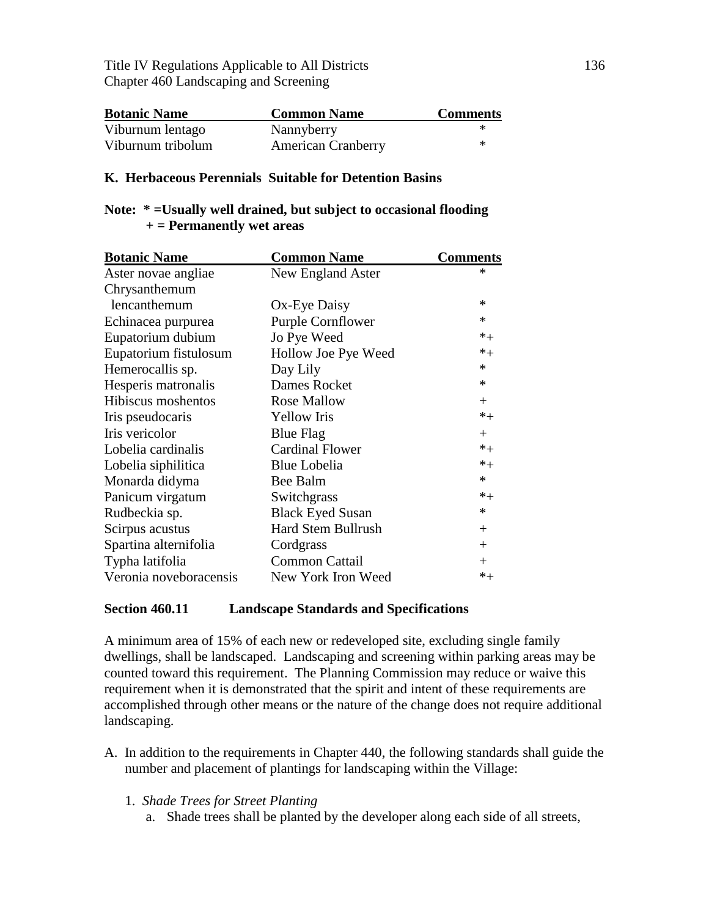Title IV Regulations Applicable to All Districts 136 Chapter 460 Landscaping and Screening

| <b>Botanic Name</b> | <b>Common Name</b>        | <b>Comments</b> |
|---------------------|---------------------------|-----------------|
| Viburnum lentago    | Nannyberry                | ∗               |
| Viburnum tribolum   | <b>American Cranberry</b> | ∗               |

#### **K. Herbaceous Perennials Suitable for Detention Basins**

#### **Note: \* =Usually well drained, but subject to occasional flooding + = Permanently wet areas**

| <b>Botanic Name</b>    | <b>Common Name</b>        | <b>Comments</b> |
|------------------------|---------------------------|-----------------|
| Aster novae angliae    | New England Aster         | ×               |
| Chrysanthemum          |                           |                 |
| lencanthemum           | Ox-Eye Daisy              | *               |
| Echinacea purpurea     | <b>Purple Cornflower</b>  | $\ast$          |
| Eupatorium dubium      | Jo Pye Weed               | $*_{+}$         |
| Eupatorium fistulosum  | Hollow Joe Pye Weed       | $*_{+}$         |
| Hemerocallis sp.       | Day Lily                  | $\ast$          |
| Hesperis matronalis    | Dames Rocket              | $\ast$          |
| Hibiscus moshentos     | <b>Rose Mallow</b>        | $+$             |
| Iris pseudocaris       | <b>Yellow</b> Iris        | $*_{+}$         |
| Iris vericolor         | <b>Blue Flag</b>          | $+$             |
| Lobelia cardinalis     | <b>Cardinal Flower</b>    | $*_{+}$         |
| Lobelia siphilitica    | <b>Blue Lobelia</b>       | $*_{+}$         |
| Monarda didyma         | Bee Balm                  | $*$             |
| Panicum virgatum       | Switchgrass               | $*_{+}$         |
| Rudbeckia sp.          | <b>Black Eyed Susan</b>   | $\ast$          |
| Scirpus acustus        | <b>Hard Stem Bullrush</b> | $^{+}$          |
| Spartina alternifolia  | Cordgrass                 | $^{+}$          |
| Typha latifolia        | <b>Common Cattail</b>     | $\pm$           |
| Veronia noveboracensis | New York Iron Weed        | $\ast_+$        |

#### **Section 460.11 Landscape Standards and Specifications**

A minimum area of 15% of each new or redeveloped site, excluding single family dwellings, shall be landscaped. Landscaping and screening within parking areas may be counted toward this requirement. The Planning Commission may reduce or waive this requirement when it is demonstrated that the spirit and intent of these requirements are accomplished through other means or the nature of the change does not require additional landscaping.

- A. In addition to the requirements in Chapter 440, the following standards shall guide the number and placement of plantings for landscaping within the Village:
	- 1. *Shade Trees for Street Planting*
		- a. Shade trees shall be planted by the developer along each side of all streets,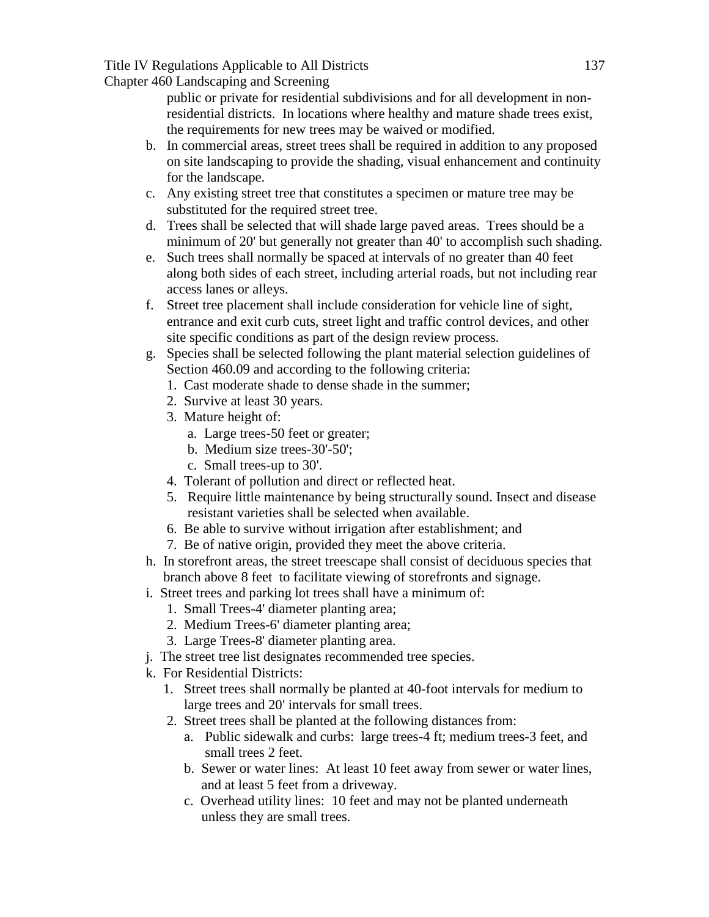Title IV Regulations Applicable to All Districts 137

Chapter 460 Landscaping and Screening

public or private for residential subdivisions and for all development in nonresidential districts. In locations where healthy and mature shade trees exist, the requirements for new trees may be waived or modified.

- b. In commercial areas, street trees shall be required in addition to any proposed on site landscaping to provide the shading, visual enhancement and continuity for the landscape.
- c. Any existing street tree that constitutes a specimen or mature tree may be substituted for the required street tree.
- d. Trees shall be selected that will shade large paved areas. Trees should be a minimum of 20' but generally not greater than 40' to accomplish such shading.
- e. Such trees shall normally be spaced at intervals of no greater than 40 feet along both sides of each street, including arterial roads, but not including rear access lanes or alleys.
- f. Street tree placement shall include consideration for vehicle line of sight, entrance and exit curb cuts, street light and traffic control devices, and other site specific conditions as part of the design review process.
- g. Species shall be selected following the plant material selection guidelines of Section 460.09 and according to the following criteria:
	- 1. Cast moderate shade to dense shade in the summer;
	- 2. Survive at least 30 years.
	- 3. Mature height of:
		- a. Large trees-50 feet or greater;
		- b. Medium size trees-30'-50';
		- c. Small trees-up to 30'.
	- 4. Tolerant of pollution and direct or reflected heat.
	- 5. Require little maintenance by being structurally sound. Insect and disease resistant varieties shall be selected when available.
	- 6. Be able to survive without irrigation after establishment; and
	- 7. Be of native origin, provided they meet the above criteria.
- h. In storefront areas, the street treescape shall consist of deciduous species that branch above 8 feet to facilitate viewing of storefronts and signage.
- i. Street trees and parking lot trees shall have a minimum of:
	- 1. Small Trees-4' diameter planting area;
	- 2. Medium Trees-6' diameter planting area;
	- 3. Large Trees-8' diameter planting area.
- j. The street tree list designates recommended tree species.
- k. For Residential Districts:
	- 1. Street trees shall normally be planted at 40-foot intervals for medium to large trees and 20' intervals for small trees.
	- 2. Street trees shall be planted at the following distances from:
		- a. Public sidewalk and curbs: large trees-4 ft; medium trees-3 feet, and small trees 2 feet.
		- b. Sewer or water lines: At least 10 feet away from sewer or water lines, and at least 5 feet from a driveway.
		- c. Overhead utility lines: 10 feet and may not be planted underneath unless they are small trees.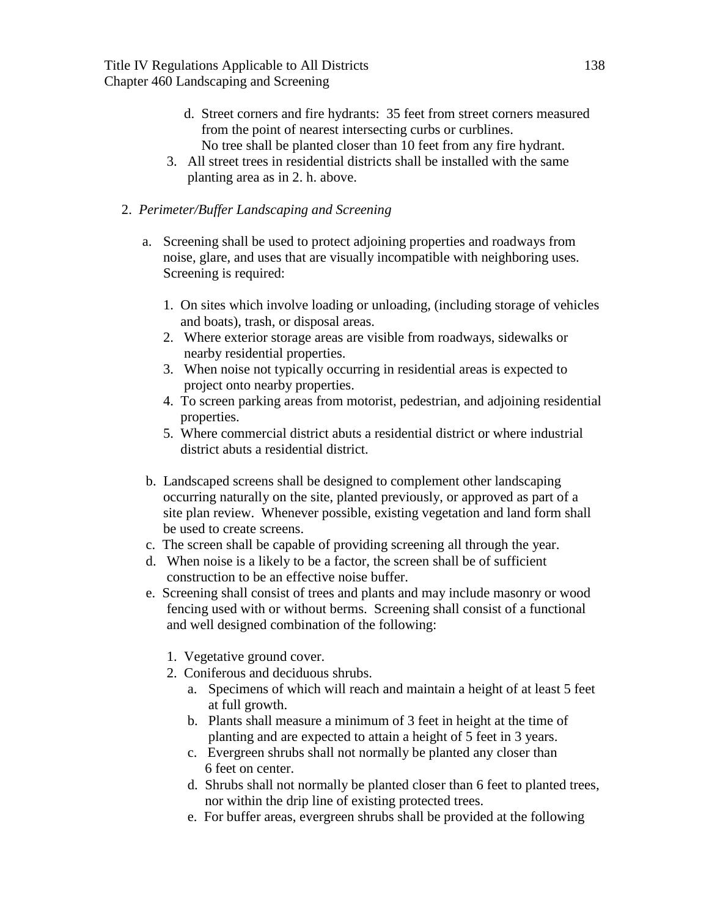- d. Street corners and fire hydrants: 35 feet from street corners measured from the point of nearest intersecting curbs or curblines. No tree shall be planted closer than 10 feet from any fire hydrant.
- 3. All street trees in residential districts shall be installed with the same planting area as in 2. h. above.

### 2. *Perimeter/Buffer Landscaping and Screening*

- a. Screening shall be used to protect adjoining properties and roadways from noise, glare, and uses that are visually incompatible with neighboring uses. Screening is required:
	- 1. On sites which involve loading or unloading, (including storage of vehicles and boats), trash, or disposal areas.
	- 2. Where exterior storage areas are visible from roadways, sidewalks or nearby residential properties.
	- 3. When noise not typically occurring in residential areas is expected to project onto nearby properties.
	- 4. To screen parking areas from motorist, pedestrian, and adjoining residential properties.
	- 5. Where commercial district abuts a residential district or where industrial district abuts a residential district.
- b. Landscaped screens shall be designed to complement other landscaping occurring naturally on the site, planted previously, or approved as part of a site plan review. Whenever possible, existing vegetation and land form shall be used to create screens.
- c. The screen shall be capable of providing screening all through the year.
- d. When noise is a likely to be a factor, the screen shall be of sufficient construction to be an effective noise buffer.
- e. Screening shall consist of trees and plants and may include masonry or wood fencing used with or without berms. Screening shall consist of a functional and well designed combination of the following:
	- 1. Vegetative ground cover.
	- 2. Coniferous and deciduous shrubs.
		- a. Specimens of which will reach and maintain a height of at least 5 feet at full growth.
		- b. Plants shall measure a minimum of 3 feet in height at the time of planting and are expected to attain a height of 5 feet in 3 years.
		- c. Evergreen shrubs shall not normally be planted any closer than 6 feet on center.
		- d. Shrubs shall not normally be planted closer than 6 feet to planted trees, nor within the drip line of existing protected trees.
		- e. For buffer areas, evergreen shrubs shall be provided at the following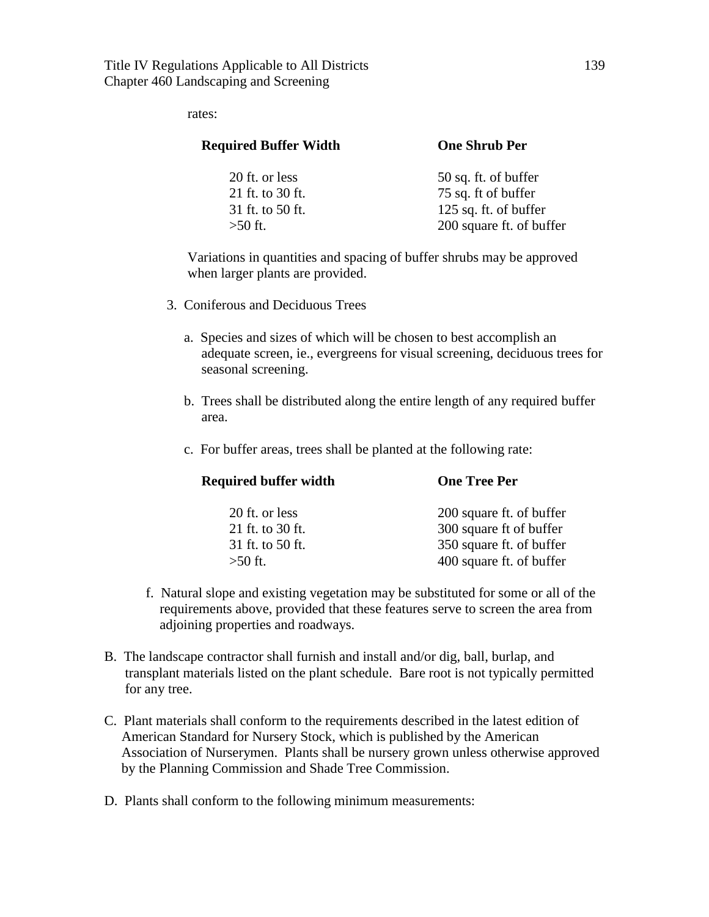rates:

| <b>Required Buffer Width</b> | <b>One Shrub Per</b>     |  |
|------------------------------|--------------------------|--|
| 20 ft. or less               | 50 sq. ft. of buffer     |  |
| 21 ft. to 30 ft.             | 75 sq. ft of buffer      |  |
| 31 ft. to 50 ft.             | 125 sq. ft. of buffer    |  |
| $>50$ ft.                    | 200 square ft. of buffer |  |
|                              |                          |  |

Variations in quantities and spacing of buffer shrubs may be approved when larger plants are provided.

- 3. Coniferous and Deciduous Trees
	- a. Species and sizes of which will be chosen to best accomplish an adequate screen, ie., evergreens for visual screening, deciduous trees for seasonal screening.
	- b. Trees shall be distributed along the entire length of any required buffer area.
	- c. For buffer areas, trees shall be planted at the following rate:

| <b>Required buffer width</b> | <b>One Tree Per</b>      |
|------------------------------|--------------------------|
| 20 ft. or less               | 200 square ft. of buffer |
| 21 ft. to 30 ft.             | 300 square ft of buffer  |
| 31 ft. to 50 ft.             | 350 square ft. of buffer |
| $>50$ ft.                    | 400 square ft. of buffer |

- f. Natural slope and existing vegetation may be substituted for some or all of the requirements above, provided that these features serve to screen the area from adjoining properties and roadways.
- B. The landscape contractor shall furnish and install and/or dig, ball, burlap, and transplant materials listed on the plant schedule. Bare root is not typically permitted for any tree.
- C. Plant materials shall conform to the requirements described in the latest edition of American Standard for Nursery Stock, which is published by the American Association of Nurserymen. Plants shall be nursery grown unless otherwise approved by the Planning Commission and Shade Tree Commission.
- D. Plants shall conform to the following minimum measurements: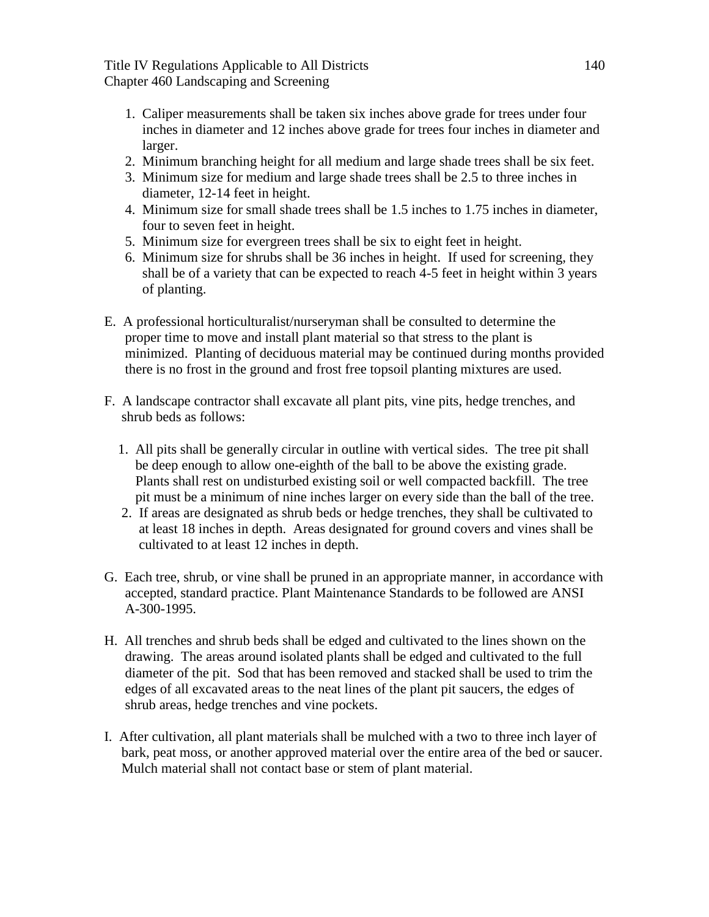Title IV Regulations Applicable to All Districts 140 Chapter 460 Landscaping and Screening

- 1. Caliper measurements shall be taken six inches above grade for trees under four inches in diameter and 12 inches above grade for trees four inches in diameter and larger.
- 2. Minimum branching height for all medium and large shade trees shall be six feet.
- 3. Minimum size for medium and large shade trees shall be 2.5 to three inches in diameter, 12-14 feet in height.
- 4. Minimum size for small shade trees shall be 1.5 inches to 1.75 inches in diameter, four to seven feet in height.
- 5. Minimum size for evergreen trees shall be six to eight feet in height.
- 6. Minimum size for shrubs shall be 36 inches in height. If used for screening, they shall be of a variety that can be expected to reach 4-5 feet in height within 3 years of planting.
- E. A professional horticulturalist/nurseryman shall be consulted to determine the proper time to move and install plant material so that stress to the plant is minimized. Planting of deciduous material may be continued during months provided there is no frost in the ground and frost free topsoil planting mixtures are used.
- F. A landscape contractor shall excavate all plant pits, vine pits, hedge trenches, and shrub beds as follows:
	- 1. All pits shall be generally circular in outline with vertical sides. The tree pit shall be deep enough to allow one-eighth of the ball to be above the existing grade. Plants shall rest on undisturbed existing soil or well compacted backfill. The tree pit must be a minimum of nine inches larger on every side than the ball of the tree.
	- 2. If areas are designated as shrub beds or hedge trenches, they shall be cultivated to at least 18 inches in depth. Areas designated for ground covers and vines shall be cultivated to at least 12 inches in depth.
- G. Each tree, shrub, or vine shall be pruned in an appropriate manner, in accordance with accepted, standard practice. Plant Maintenance Standards to be followed are ANSI A-300-1995.
- H. All trenches and shrub beds shall be edged and cultivated to the lines shown on the drawing. The areas around isolated plants shall be edged and cultivated to the full diameter of the pit. Sod that has been removed and stacked shall be used to trim the edges of all excavated areas to the neat lines of the plant pit saucers, the edges of shrub areas, hedge trenches and vine pockets.
- I. After cultivation, all plant materials shall be mulched with a two to three inch layer of bark, peat moss, or another approved material over the entire area of the bed or saucer. Mulch material shall not contact base or stem of plant material.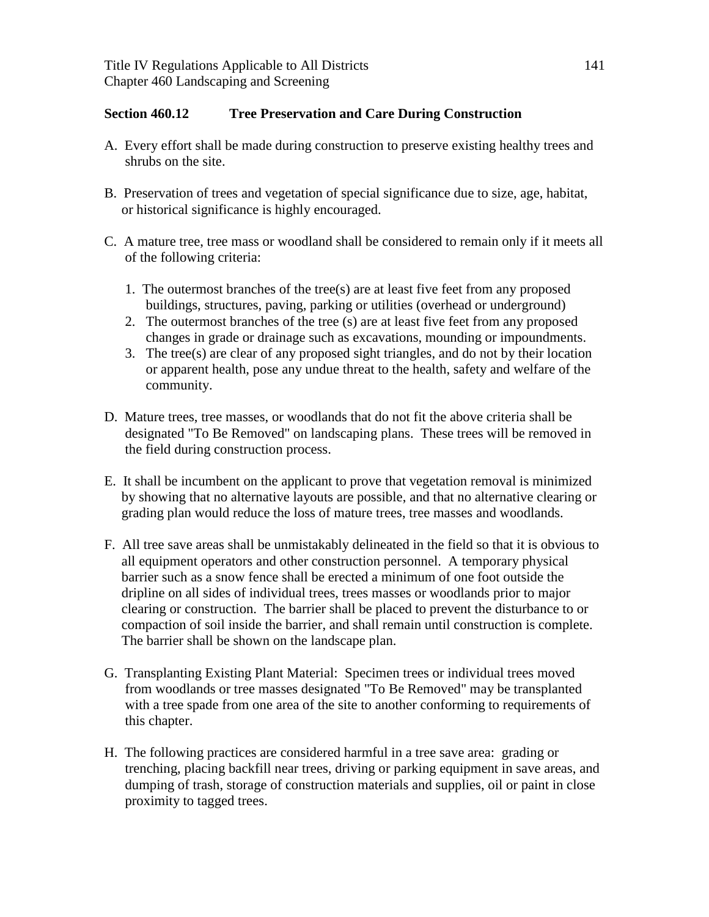### **Section 460.12 Tree Preservation and Care During Construction**

- A. Every effort shall be made during construction to preserve existing healthy trees and shrubs on the site.
- B. Preservation of trees and vegetation of special significance due to size, age, habitat, or historical significance is highly encouraged.
- C. A mature tree, tree mass or woodland shall be considered to remain only if it meets all of the following criteria:
	- 1. The outermost branches of the tree(s) are at least five feet from any proposed buildings, structures, paving, parking or utilities (overhead or underground)
	- 2. The outermost branches of the tree (s) are at least five feet from any proposed changes in grade or drainage such as excavations, mounding or impoundments.
	- 3. The tree(s) are clear of any proposed sight triangles, and do not by their location or apparent health, pose any undue threat to the health, safety and welfare of the community.
- D. Mature trees, tree masses, or woodlands that do not fit the above criteria shall be designated "To Be Removed" on landscaping plans. These trees will be removed in the field during construction process.
- E. It shall be incumbent on the applicant to prove that vegetation removal is minimized by showing that no alternative layouts are possible, and that no alternative clearing or grading plan would reduce the loss of mature trees, tree masses and woodlands.
- F. All tree save areas shall be unmistakably delineated in the field so that it is obvious to all equipment operators and other construction personnel. A temporary physical barrier such as a snow fence shall be erected a minimum of one foot outside the dripline on all sides of individual trees, trees masses or woodlands prior to major clearing or construction. The barrier shall be placed to prevent the disturbance to or compaction of soil inside the barrier, and shall remain until construction is complete. The barrier shall be shown on the landscape plan.
- G. Transplanting Existing Plant Material: Specimen trees or individual trees moved from woodlands or tree masses designated "To Be Removed" may be transplanted with a tree spade from one area of the site to another conforming to requirements of this chapter.
- H. The following practices are considered harmful in a tree save area: grading or trenching, placing backfill near trees, driving or parking equipment in save areas, and dumping of trash, storage of construction materials and supplies, oil or paint in close proximity to tagged trees.